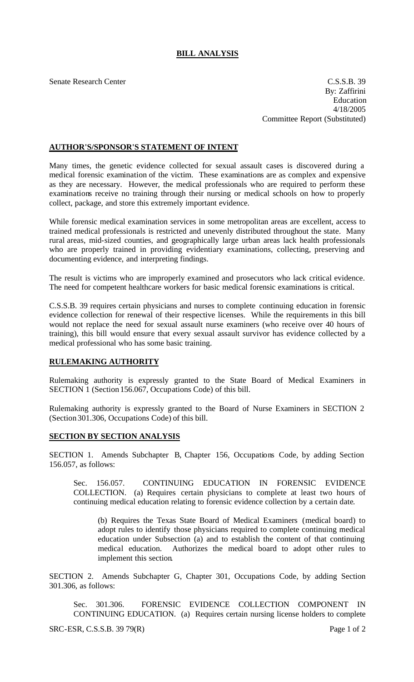## **BILL ANALYSIS**

Senate Research Center Casses and C.S.S.B. 39 By: Zaffirini Education 4/18/2005 Committee Report (Substituted)

## **AUTHOR'S/SPONSOR'S STATEMENT OF INTENT**

Many times, the genetic evidence collected for sexual assault cases is discovered during a medical forensic examination of the victim. These examinations are as complex and expensive as they are necessary. However, the medical professionals who are required to perform these examinations receive no training through their nursing or medical schools on how to properly collect, package, and store this extremely important evidence.

While forensic medical examination services in some metropolitan areas are excellent, access to trained medical professionals is restricted and unevenly distributed throughout the state. Many rural areas, mid-sized counties, and geographically large urban areas lack health professionals who are properly trained in providing evidentiary examinations, collecting, preserving and documenting evidence, and interpreting findings.

The result is victims who are improperly examined and prosecutors who lack critical evidence. The need for competent healthcare workers for basic medical forensic examinations is critical.

C.S.S.B. 39 requires certain physicians and nurses to complete continuing education in forensic evidence collection for renewal of their respective licenses. While the requirements in this bill would not replace the need for sexual assault nurse examiners (who receive over 40 hours of training), this bill would ensure that every sexual assault survivor has evidence collected by a medical professional who has some basic training.

## **RULEMAKING AUTHORITY**

Rulemaking authority is expressly granted to the State Board of Medical Examiners in SECTION 1 (Section 156.067, Occupations Code) of this bill.

Rulemaking authority is expressly granted to the Board of Nurse Examiners in SECTION 2 (Section 301.306, Occupations Code) of this bill.

## **SECTION BY SECTION ANALYSIS**

SECTION 1. Amends Subchapter B, Chapter 156, Occupations Code, by adding Section 156.057, as follows:

Sec. 156.057. CONTINUING EDUCATION IN FORENSIC EVIDENCE COLLECTION. (a) Requires certain physicians to complete at least two hours of continuing medical education relating to forensic evidence collection by a certain date.

(b) Requires the Texas State Board of Medical Examiners (medical board) to adopt rules to identify those physicians required to complete continuing medical education under Subsection (a) and to establish the content of that continuing medical education. Authorizes the medical board to adopt other rules to implement this section.

SECTION 2. Amends Subchapter G, Chapter 301, Occupations Code, by adding Section 301.306, as follows:

Sec. 301.306. FORENSIC EVIDENCE COLLECTION COMPONENT IN CONTINUING EDUCATION. (a) Requires certain nursing license holders to complete

SRC-ESR, C.S.S.B. 39 79(R) Page 1 of 2